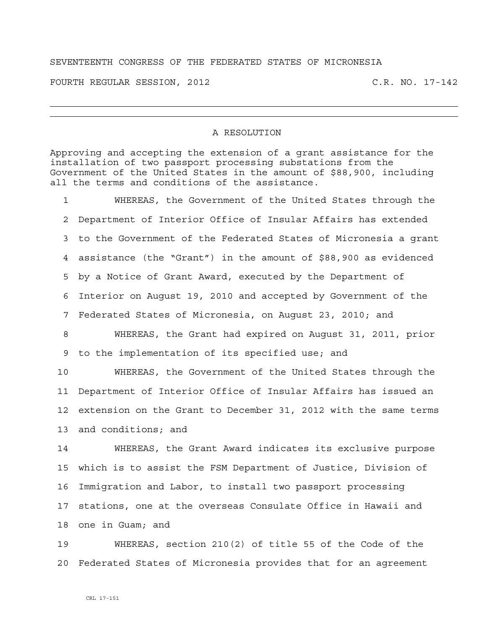## SEVENTEENTH CONGRESS OF THE FEDERATED STATES OF MICRONESIA

FOURTH REGULAR SESSION, 2012 C.R. NO. 17-142

## A RESOLUTION

Approving and accepting the extension of a grant assistance for the installation of two passport processing substations from the Government of the United States in the amount of \$88,900, including all the terms and conditions of the assistance.

1 WHEREAS, the Government of the United States through the 2 Department of Interior Office of Insular Affairs has extended 3 to the Government of the Federated States of Micronesia a grant 4 assistance (the "Grant") in the amount of \$88,900 as evidenced 5 by a Notice of Grant Award, executed by the Department of 6 Interior on August 19, 2010 and accepted by Government of the 7 Federated States of Micronesia, on August 23, 2010; and

8 WHEREAS, the Grant had expired on August 31, 2011, prior 9 to the implementation of its specified use; and

10 WHEREAS, the Government of the United States through the 11 Department of Interior Office of Insular Affairs has issued an 12 extension on the Grant to December 31, 2012 with the same terms 13 and conditions; and

14 WHEREAS, the Grant Award indicates its exclusive purpose 15 which is to assist the FSM Department of Justice, Division of 16 Immigration and Labor, to install two passport processing 17 stations, one at the overseas Consulate Office in Hawaii and 18 one in Guam; and

19 WHEREAS, section 210(2) of title 55 of the Code of the 20 Federated States of Micronesia provides that for an agreement